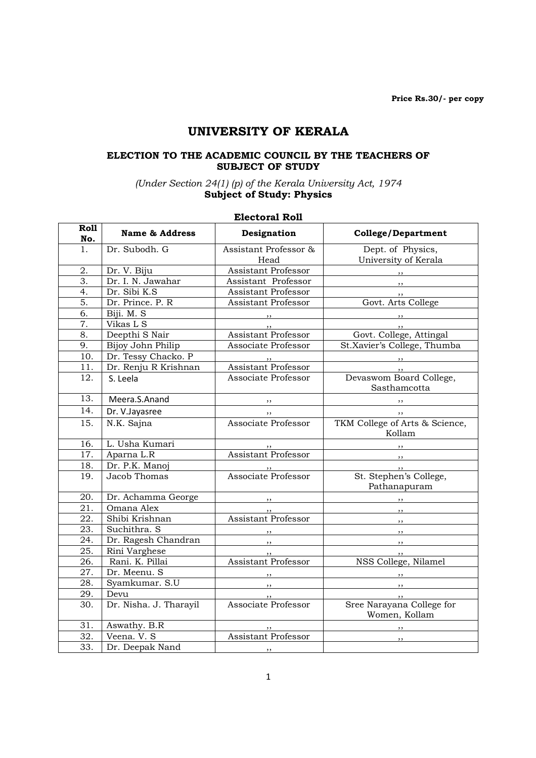# UNIVERSITY OF KERALA

### ELECTION TO THE ACADEMIC COUNCIL BY THE TEACHERS OF SUBJECT OF STUDY

#### (Under Section 24(1) (p) of the Kerala University Act, 1974 Subject of Study: Physics

# Electoral Roll

| <b>Roll</b><br>No. | <b>Name &amp; Address</b> | Designation                                         | <b>College/Department</b>          |
|--------------------|---------------------------|-----------------------------------------------------|------------------------------------|
| 1.                 | Dr. Subodh. G             | Assistant Professor &                               | Dept. of Physics,                  |
|                    |                           | Head                                                | University of Kerala               |
| 2.                 | Dr. V. Biju               | <b>Assistant Professor</b>                          |                                    |
| 3.                 | Dr. I. N. Jawahar         | Assistant Professor                                 | $\sim$ $\sim$ $\sim$ $\sim$ $\sim$ |
| 4.                 | Dr. Sibi K.S              | <b>Assistant Professor</b>                          | $, \, \,$                          |
| 5.                 | Dr. Prince. P. R          | Assistant Professor                                 | Govt. Arts College                 |
| 6.                 | Biji. M. S                | $\overline{\phantom{a}}$                            | $\overline{\phantom{a}}$           |
| 7.                 | Vikas L S                 |                                                     |                                    |
| 8.                 | Deepthi S Nair            | <b>Assistant Professor</b>                          | Govt. College, Attingal            |
| 9.                 | Bijoy John Philip         | Associate Professor                                 | St.Xavier's College, Thumba        |
| 10.                | Dr. Tessy Chacko. P       |                                                     | $\overline{\phantom{a}}$           |
| 11.                | Dr. Renju R Krishnan      | Assistant Professor                                 |                                    |
| 12.                | S. Leela                  | Associate Professor                                 | Devaswom Board College,            |
|                    |                           |                                                     | Sasthamcotta                       |
| 13.                | Meera.S.Anand             | $\overline{\phantom{a}}$                            | $, \, \, \cdot$                    |
| 14.                | Dr. V.Jayasree            | $, \, \,$                                           | $\overline{\phantom{a}}$           |
| 15.                | N.K. Sajna                | Associate Professor                                 | TKM College of Arts & Science,     |
|                    |                           |                                                     | Kollam                             |
| 16.                | L. Usha Kumari            |                                                     |                                    |
| 17.                | Aparna L.R                | Assistant Professor                                 | $\overline{\phantom{a}}$           |
| 18.                | Dr. P.K. Manoj            |                                                     | $\overline{\phantom{a}}$           |
| 19.                | Jacob Thomas              | "<br>Associate Professor                            | St. Stephen's College,             |
|                    |                           |                                                     | Pathanapuram                       |
| 20.                | Dr. Achamma George        | $\overline{\phantom{a}}$                            |                                    |
| 21.                | Omana Alex                | , ,                                                 | $, \, \, \cdot$                    |
| 22.                | Shibi Krishnan            | <b>Assistant Professor</b>                          | $\overline{\phantom{a}}$           |
| 23.                | Suchithra. S              | $, \, , \,$                                         | $\overline{\phantom{a}}$           |
| 24.                | Dr. Ragesh Chandran       | $\overline{\phantom{a}}$                            | $\overline{\phantom{a}}$           |
| 25.                | Rini Varghese             | , ,                                                 | , ,                                |
| 26.                | Rani. K. Pillai           | <b>Assistant Professor</b>                          | NSS College, Nilamel               |
| 27.                | Dr. Meenu. S              | $\overline{\phantom{a}}$ , $\overline{\phantom{a}}$ | $\overline{\phantom{a}}$           |
| 28.                | Syamkumar. S.U            | $, \, \,$                                           | $\overline{\phantom{a}}$           |
| 29.                | Devu                      |                                                     | $\cdot$ ,                          |
| 30.                | Dr. Nisha. J. Tharayil    | <b>Associate Professor</b>                          | Sree Narayana College for          |
|                    |                           |                                                     | Women, Kollam                      |
| 31.                | Aswathy. B.R              |                                                     |                                    |
| 32.                | Veena. V. S               | Assistant Professor                                 | $, \, \,$                          |
| 33.                | Dr. Deepak Nand           | , ,                                                 |                                    |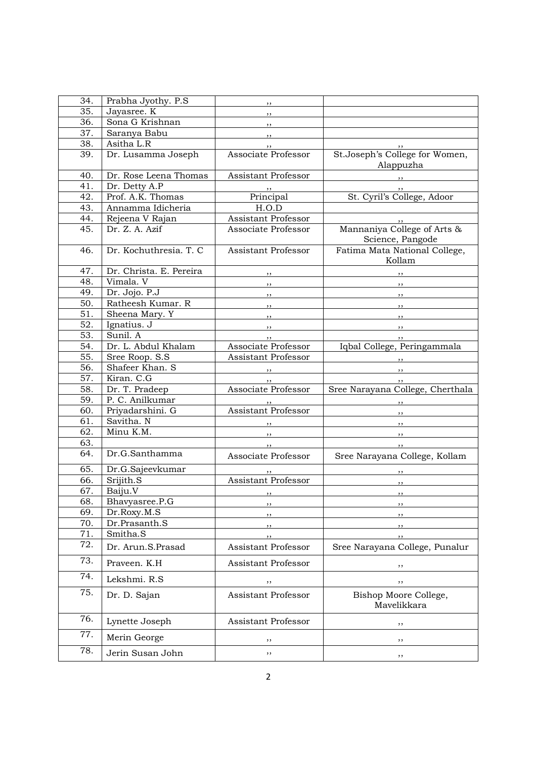| 34. | Prabha Jyothy. P.S      | , ,                        |                                                                                                                                                                                                                                                                                                                                                                                                                                                                            |
|-----|-------------------------|----------------------------|----------------------------------------------------------------------------------------------------------------------------------------------------------------------------------------------------------------------------------------------------------------------------------------------------------------------------------------------------------------------------------------------------------------------------------------------------------------------------|
| 35. | Jayasree. K             | $, \, \,$                  |                                                                                                                                                                                                                                                                                                                                                                                                                                                                            |
| 36. | Sona G Krishnan         | $, \, \, \cdot$            |                                                                                                                                                                                                                                                                                                                                                                                                                                                                            |
| 37. | Saranya Babu            | $, \, \, \cdot$            |                                                                                                                                                                                                                                                                                                                                                                                                                                                                            |
| 38. | Asitha L.R              | $, \,$                     | , ,                                                                                                                                                                                                                                                                                                                                                                                                                                                                        |
| 39. | Dr. Lusamma Joseph      | Associate Professor        | St.Joseph's College for Women,<br>Alappuzha                                                                                                                                                                                                                                                                                                                                                                                                                                |
| 40. | Dr. Rose Leena Thomas   | Assistant Professor        | $\overline{\phantom{a}}$ , $\overline{\phantom{a}}$ , $\overline{\phantom{a}}$ , $\overline{\phantom{a}}$ , $\overline{\phantom{a}}$ , $\overline{\phantom{a}}$ , $\overline{\phantom{a}}$ , $\overline{\phantom{a}}$ , $\overline{\phantom{a}}$ , $\overline{\phantom{a}}$ , $\overline{\phantom{a}}$ , $\overline{\phantom{a}}$ , $\overline{\phantom{a}}$ , $\overline{\phantom{a}}$ , $\overline{\phantom{a}}$ , $\overline{\phantom{a}}$ , $\overline{\phantom{a}}$ , |
| 41. | Dr. Detty A.P           |                            |                                                                                                                                                                                                                                                                                                                                                                                                                                                                            |
| 42. | Prof. A.K. Thomas       | $rac{1}{2}$ Principal      | St. Cyril's College, Adoor                                                                                                                                                                                                                                                                                                                                                                                                                                                 |
| 43. | Annamma Idicheria       | H.O.D                      |                                                                                                                                                                                                                                                                                                                                                                                                                                                                            |
| 44. | Rejeena V Rajan         | Assistant Professor        |                                                                                                                                                                                                                                                                                                                                                                                                                                                                            |
| 45. | Dr. Z. A. Azif          | Associate Professor        | Mannaniya College of Arts &<br>Science, Pangode                                                                                                                                                                                                                                                                                                                                                                                                                            |
| 46. | Dr. Kochuthresia. T. C  | Assistant Professor        | Fatima Mata National College,<br>Kollam                                                                                                                                                                                                                                                                                                                                                                                                                                    |
| 47. | Dr. Christa. E. Pereira | $, \, \, \cdot$            |                                                                                                                                                                                                                                                                                                                                                                                                                                                                            |
| 48. | Vimala. V               | $\overline{\phantom{a}}$   | $\overline{\phantom{a}}$                                                                                                                                                                                                                                                                                                                                                                                                                                                   |
| 49. | Dr. Jojo. P.J           | $\overline{\phantom{a}}$   | $\overline{\phantom{a}}$                                                                                                                                                                                                                                                                                                                                                                                                                                                   |
| 50. | Ratheesh Kumar. R       | $, \, \, \cdot$            | $\overline{\phantom{a}}$                                                                                                                                                                                                                                                                                                                                                                                                                                                   |
| 51. | Sheena Mary. Y          | $, \, \, \cdot$            | $\overline{\phantom{a}}$                                                                                                                                                                                                                                                                                                                                                                                                                                                   |
| 52. | Ignatius. J             | $\overline{\phantom{a}}$   | $\overline{\phantom{a}}$ , $\overline{\phantom{a}}$ , $\overline{\phantom{a}}$ , $\overline{\phantom{a}}$ , $\overline{\phantom{a}}$ , $\overline{\phantom{a}}$ , $\overline{\phantom{a}}$ , $\overline{\phantom{a}}$ , $\overline{\phantom{a}}$ , $\overline{\phantom{a}}$ , $\overline{\phantom{a}}$ , $\overline{\phantom{a}}$ , $\overline{\phantom{a}}$ , $\overline{\phantom{a}}$ , $\overline{\phantom{a}}$ , $\overline{\phantom{a}}$ , $\overline{\phantom{a}}$ , |
| 53. | Sunil. A                |                            | , ,                                                                                                                                                                                                                                                                                                                                                                                                                                                                        |
| 54. | Dr. L. Abdul Khalam     | Associate Professor        | Iqbal College, Peringammala                                                                                                                                                                                                                                                                                                                                                                                                                                                |
| 55. | Sree Roop. S.S          | Assistant Professor        |                                                                                                                                                                                                                                                                                                                                                                                                                                                                            |
| 56. | Shafeer Khan. S         |                            | $\overline{\phantom{a}}$                                                                                                                                                                                                                                                                                                                                                                                                                                                   |
| 57. | Kiran. C.G              | , ,                        | , ,                                                                                                                                                                                                                                                                                                                                                                                                                                                                        |
| 58. | Dr. T. Pradeep          | Associate Professor        | Sree Narayana College, Cherthala                                                                                                                                                                                                                                                                                                                                                                                                                                           |
| 59. | P. C. Anilkumar         |                            | $\overline{\phantom{a}}$                                                                                                                                                                                                                                                                                                                                                                                                                                                   |
| 60. | Priyadarshini. G        | Assistant Professor        | $\overline{\phantom{a}}$                                                                                                                                                                                                                                                                                                                                                                                                                                                   |
| 61. | Savitha. N              |                            | $\overline{\phantom{a}}$                                                                                                                                                                                                                                                                                                                                                                                                                                                   |
| 62. | Minu K.M.               |                            | $\overline{\phantom{a}}$                                                                                                                                                                                                                                                                                                                                                                                                                                                   |
| 63. |                         | , 1                        | $\overline{\phantom{a}}$                                                                                                                                                                                                                                                                                                                                                                                                                                                   |
| 64. | Dr.G.Santhamma          | Associate Professor        | Sree Narayana College, Kollam                                                                                                                                                                                                                                                                                                                                                                                                                                              |
| 65. | Dr.G.Sajeevkumar        |                            | $, \,$                                                                                                                                                                                                                                                                                                                                                                                                                                                                     |
| 66. | Srijith.S               | <b>Assistant Professor</b> | $, \,$                                                                                                                                                                                                                                                                                                                                                                                                                                                                     |
| 67. | Baiju.V                 | , ,                        | , ,                                                                                                                                                                                                                                                                                                                                                                                                                                                                        |
| 68. | Bhavyasree.P.G          | , ,                        | $, \,$                                                                                                                                                                                                                                                                                                                                                                                                                                                                     |
| 69. | Dr.Roxy.M.S             | ,,                         | ,,                                                                                                                                                                                                                                                                                                                                                                                                                                                                         |
| 70. | Dr.Prasanth.S           | ,,                         | ,,                                                                                                                                                                                                                                                                                                                                                                                                                                                                         |
| 71. | Smitha.S                | ,,                         |                                                                                                                                                                                                                                                                                                                                                                                                                                                                            |
| 72. | Dr. Arun.S.Prasad       | Assistant Professor        | Sree Narayana College, Punalur                                                                                                                                                                                                                                                                                                                                                                                                                                             |
| 73. | Praveen. K.H            | Assistant Professor        | ,,                                                                                                                                                                                                                                                                                                                                                                                                                                                                         |
| 74. | Lekshmi. R.S            | ,,                         | ,,                                                                                                                                                                                                                                                                                                                                                                                                                                                                         |
| 75. | Dr. D. Sajan            | <b>Assistant Professor</b> | Bishop Moore College,<br>Mavelikkara                                                                                                                                                                                                                                                                                                                                                                                                                                       |
| 76. | Lynette Joseph          | <b>Assistant Professor</b> | ,,                                                                                                                                                                                                                                                                                                                                                                                                                                                                         |
| 77. | Merin George            | ,,                         | ,,                                                                                                                                                                                                                                                                                                                                                                                                                                                                         |
| 78. | Jerin Susan John        | ,,                         | ,,                                                                                                                                                                                                                                                                                                                                                                                                                                                                         |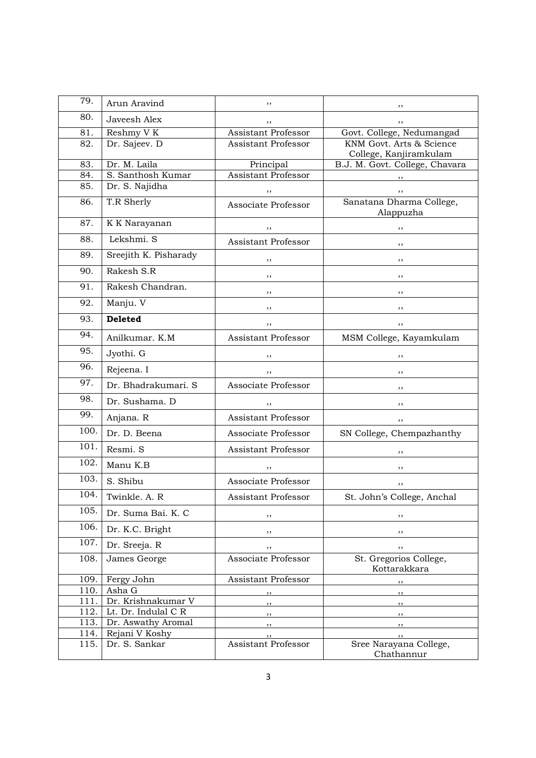| 79.  | Arun Aravind          | ,,                         |                                                    |
|------|-----------------------|----------------------------|----------------------------------------------------|
| 80.  | Javeesh Alex          | ,,                         | ,,                                                 |
| 81.  | Reshmy V K            | Assistant Professor        | Govt. College, Nedumangad                          |
| 82.  | Dr. Sajeev. D         | <b>Assistant Professor</b> | KNM Govt. Arts & Science<br>College, Kanjiramkulam |
| 83.  | Dr. M. Laila          | Principal                  | B.J. M. Govt. College, Chavara                     |
| 84.  | S. Santhosh Kumar     | Assistant Professor        |                                                    |
| 85.  | Dr. S. Najidha        | ,,                         |                                                    |
| 86.  | T.R Sherly            | Associate Professor        | Sanatana Dharma College,<br>Alappuzha              |
| 87.  | K K Narayanan         | ,,                         |                                                    |
| 88.  | Lekshmi. S            | <b>Assistant Professor</b> | ,,                                                 |
| 89.  | Sreejith K. Pisharady | ,,                         | ,,                                                 |
| 90.  | Rakesh S.R            | ,,                         | ,,                                                 |
| 91.  | Rakesh Chandran.      | ,,                         | ,,                                                 |
| 92.  | Manju. V              | ,,                         | ,,                                                 |
| 93.  | <b>Deleted</b>        | ,,                         | ,,                                                 |
| 94.  | Anilkumar. K.M        | Assistant Professor        | MSM College, Kayamkulam                            |
| 95.  | Jyothi. G             | ,,                         | ,,                                                 |
| 96.  | Rejeena. I            | ,,                         | ,,                                                 |
| 97.  | Dr. Bhadrakumari. S   | Associate Professor        | ,,                                                 |
| 98.  | Dr. Sushama. D        | ,,                         | ,,                                                 |
| 99.  | Anjana. R             | <b>Assistant Professor</b> | ,,                                                 |
| 100. | Dr. D. Beena          | Associate Professor        | SN College, Chempazhanthy                          |
| 101. | Resmi. S              | Assistant Professor        | ,,                                                 |
| 102. | Manu K.B              |                            |                                                    |
| 103. | S. Shibu              | Associate Professor        | ,,                                                 |
| 104. | Twinkle. A. R         | Assistant Professor        | St. John's College, Anchal                         |
| 105. | Dr. Suma Bai. K. C    | ,,                         | $, \,$                                             |
| 106. | Dr. K.C. Bright       | ,,                         | $, \,$                                             |
| 107. | Dr. Sreeja. R         | ,,                         | $, \,$                                             |
| 108. | James George          | Associate Professor        | St. Gregorios College,<br>Kottarakkara             |
| 109. | Fergy John            | Assistant Professor        | ,,                                                 |
| 110. | Asha G                | ,,                         | $, \,$                                             |
| 111. | Dr. Krishnakumar V    |                            | $, \,$                                             |
| 112. | Lt. Dr. Indulal C R   | ,,                         | $, \, \,$                                          |
| 113. | Dr. Aswathy Aromal    | , ,                        | $, \,$                                             |
| 114. | Rejani V Koshy        |                            | ,,                                                 |
| 115. | Dr. S. Sankar         | Assistant Professor        | Sree Narayana College,<br>Chathannur               |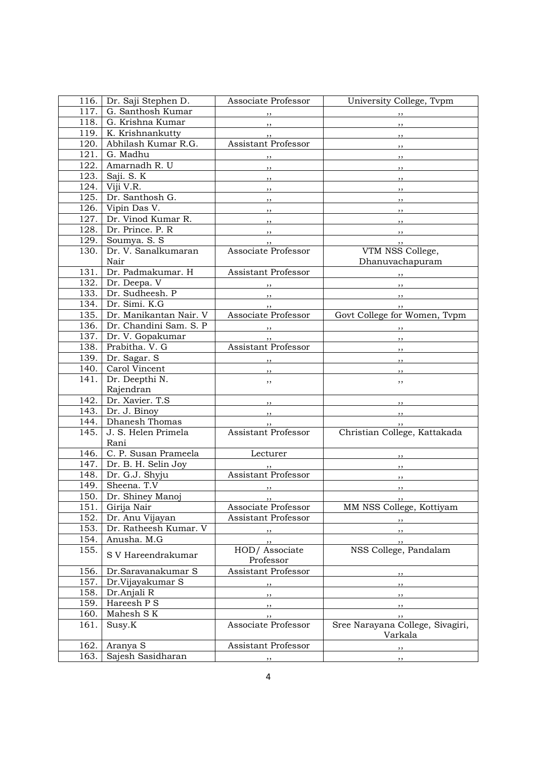| 116. | Dr. Saji Stephen D.    | Associate Professor                                 | University College, Tvpm                                                                                                                                                                                                                                                                                                                                                                                                                                                   |
|------|------------------------|-----------------------------------------------------|----------------------------------------------------------------------------------------------------------------------------------------------------------------------------------------------------------------------------------------------------------------------------------------------------------------------------------------------------------------------------------------------------------------------------------------------------------------------------|
| 117. | G. Santhosh Kumar      | , ,                                                 | $\overline{\phantom{a}}$ , $\overline{\phantom{a}}$                                                                                                                                                                                                                                                                                                                                                                                                                        |
| 118. | G. Krishna Kumar       | $\overline{\phantom{a}}$                            |                                                                                                                                                                                                                                                                                                                                                                                                                                                                            |
| 119. | K. Krishnankutty       | , ,                                                 | $\overline{\phantom{a}}$                                                                                                                                                                                                                                                                                                                                                                                                                                                   |
| 120. | Abhilash Kumar R.G.    | Assistant Professor                                 | $\overline{\phantom{a}}$                                                                                                                                                                                                                                                                                                                                                                                                                                                   |
| 121. | G. Madhu               | $\overline{\phantom{a}}$                            |                                                                                                                                                                                                                                                                                                                                                                                                                                                                            |
| 122. | Amarnadh R. U          |                                                     | $, \, \,$                                                                                                                                                                                                                                                                                                                                                                                                                                                                  |
| 123. | Saji. S. K             |                                                     |                                                                                                                                                                                                                                                                                                                                                                                                                                                                            |
| 124. | Viji V.R.              | $\overline{\phantom{a}}$                            | $\overline{\phantom{a}}$ , $\overline{\phantom{a}}$                                                                                                                                                                                                                                                                                                                                                                                                                        |
| 125. | Dr. Santhosh G.        | $, \underline{\ }$                                  | $\overline{\phantom{a}}$                                                                                                                                                                                                                                                                                                                                                                                                                                                   |
| 126. | Vipin Das V.           | $\overline{\phantom{a}}$ , $\overline{\phantom{a}}$ | $\overline{\phantom{a}}$                                                                                                                                                                                                                                                                                                                                                                                                                                                   |
| 127. | Dr. Vinod Kumar R.     | $\overline{\phantom{a}}$ , $\overline{\phantom{a}}$ | $\overline{\phantom{a}}$                                                                                                                                                                                                                                                                                                                                                                                                                                                   |
| 128. | Dr. Prince. P. R       | $\overline{\phantom{a}}$                            | $\overline{\phantom{a}}$                                                                                                                                                                                                                                                                                                                                                                                                                                                   |
|      |                        | $\overline{\phantom{a}}$ , $\overline{\phantom{a}}$ | $\overline{\phantom{a}}$                                                                                                                                                                                                                                                                                                                                                                                                                                                   |
| 129. | Soumya. S. S           | $, \, \,$                                           | $\overline{\phantom{a}}$ ,                                                                                                                                                                                                                                                                                                                                                                                                                                                 |
| 130. | Dr. V. Sanalkumaran    | Associate Professor                                 | VTM NSS College,                                                                                                                                                                                                                                                                                                                                                                                                                                                           |
|      | Nair                   |                                                     | Dhanuvachapuram                                                                                                                                                                                                                                                                                                                                                                                                                                                            |
| 131. | Dr. Padmakumar. H      | Assistant Professor                                 | $\overline{\phantom{a}}$ , $\overline{\phantom{a}}$ , $\overline{\phantom{a}}$ , $\overline{\phantom{a}}$ , $\overline{\phantom{a}}$ , $\overline{\phantom{a}}$ , $\overline{\phantom{a}}$ , $\overline{\phantom{a}}$ , $\overline{\phantom{a}}$ , $\overline{\phantom{a}}$ , $\overline{\phantom{a}}$ , $\overline{\phantom{a}}$ , $\overline{\phantom{a}}$ , $\overline{\phantom{a}}$ , $\overline{\phantom{a}}$ , $\overline{\phantom{a}}$ , $\overline{\phantom{a}}$ , |
| 132. | Dr. Deepa. V           |                                                     | $\overline{\phantom{a}}$                                                                                                                                                                                                                                                                                                                                                                                                                                                   |
| 133. | Dr. Sudheesh. P        | $\overline{\phantom{a}}$                            | <u>в произведение при возможности в принцип на принцип на весте на принцип на весте на весте на принцип на весте</u>                                                                                                                                                                                                                                                                                                                                                       |
| 134. | Dr. Simi. K.G          | , ,                                                 | $, \, \cdot$                                                                                                                                                                                                                                                                                                                                                                                                                                                               |
| 135. | Dr. Manikantan Nair. V | Associate Professor                                 | Govt College for Women, Tvpm                                                                                                                                                                                                                                                                                                                                                                                                                                               |
| 136. | Dr. Chandini Sam. S. P | $\overline{\phantom{a}}$                            | $\overline{\phantom{a}}$                                                                                                                                                                                                                                                                                                                                                                                                                                                   |
| 137. | Dr. V. Gopakumar       | , ,                                                 | $\overline{\phantom{a}}$                                                                                                                                                                                                                                                                                                                                                                                                                                                   |
| 138. | Prabitha. V. G         | <b>Assistant Professor</b>                          | $\overline{\phantom{a}}$                                                                                                                                                                                                                                                                                                                                                                                                                                                   |
| 139. | Dr. Sagar. S           | $\overline{\phantom{a}}$                            | $\overline{\phantom{a}}$                                                                                                                                                                                                                                                                                                                                                                                                                                                   |
| 140. | Carol Vincent          | $, \, \, \cdot$                                     | $, \,$                                                                                                                                                                                                                                                                                                                                                                                                                                                                     |
| 141. | Dr. Deepthi N.         | $, \,$                                              | ,,                                                                                                                                                                                                                                                                                                                                                                                                                                                                         |
|      | Rajendran              |                                                     |                                                                                                                                                                                                                                                                                                                                                                                                                                                                            |
| 142. | Dr. Xavier. T.S        | $\overline{\phantom{a}}$                            | $\overline{\phantom{a}}$                                                                                                                                                                                                                                                                                                                                                                                                                                                   |
| 143. | Dr. J. Binoy           | $\overline{\phantom{a}}$                            | на последника по последника по последника по последника по последника по последника по последника по последник<br>В последника по последника по последника по последника по последника по последника по последника по последника                                                                                                                                                                                                                                           |
| 144. | Dhanesh Thomas         | $, \, , \,$                                         | $\frac{1}{2}$                                                                                                                                                                                                                                                                                                                                                                                                                                                              |
| 145. | J. S. Helen Primela    | Assistant Professor                                 | Christian College, Kattakada                                                                                                                                                                                                                                                                                                                                                                                                                                               |
|      | Rani                   |                                                     |                                                                                                                                                                                                                                                                                                                                                                                                                                                                            |
| 146. | C. P. Susan Prameela   | Lecturer                                            | $, \,$                                                                                                                                                                                                                                                                                                                                                                                                                                                                     |
| 147. | Dr. B. H. Selin Joy    |                                                     | ,,                                                                                                                                                                                                                                                                                                                                                                                                                                                                         |
| 148. | Dr. G.J. Shyju         | <b>Assistant Professor</b>                          | ,,                                                                                                                                                                                                                                                                                                                                                                                                                                                                         |
| 149. | Sheena. T.V            | , ,                                                 | , ,                                                                                                                                                                                                                                                                                                                                                                                                                                                                        |
| 150. | Dr. Shiney Manoj       | $\cdots$                                            | $\sim$                                                                                                                                                                                                                                                                                                                                                                                                                                                                     |
| 151. | Girija Nair            | Associate Professor                                 | MM NSS College, Kottiyam                                                                                                                                                                                                                                                                                                                                                                                                                                                   |
| 152. | Dr. Anu Vijayan        | Assistant Professor                                 |                                                                                                                                                                                                                                                                                                                                                                                                                                                                            |
| 153. | Dr. Ratheesh Kumar. V  |                                                     | $, \, \,$                                                                                                                                                                                                                                                                                                                                                                                                                                                                  |
| 154. | Anusha. M.G            | , ,                                                 | $, \,$                                                                                                                                                                                                                                                                                                                                                                                                                                                                     |
| 155. |                        | , ,<br>HOD/ Associate                               | , ,<br>NSS College, Pandalam                                                                                                                                                                                                                                                                                                                                                                                                                                               |
|      | S V Hareendrakumar     | Professor                                           |                                                                                                                                                                                                                                                                                                                                                                                                                                                                            |
| 156. | Dr.Saravanakumar S     | <b>Assistant Professor</b>                          |                                                                                                                                                                                                                                                                                                                                                                                                                                                                            |
| 157. | Dr.Vijayakumar S       |                                                     |                                                                                                                                                                                                                                                                                                                                                                                                                                                                            |
| 158. | Dr.Anjali R            | $, \,$                                              |                                                                                                                                                                                                                                                                                                                                                                                                                                                                            |
|      |                        | $, \,$                                              | $, \, \,$                                                                                                                                                                                                                                                                                                                                                                                                                                                                  |
| 159. | Hareesh P S            | ,,                                                  | ,,                                                                                                                                                                                                                                                                                                                                                                                                                                                                         |
| 160. | Mahesh SK              | ,,                                                  | , ,                                                                                                                                                                                                                                                                                                                                                                                                                                                                        |
| 161. | Susy.K                 | Associate Professor                                 | Sree Narayana College, Sivagiri,<br>Varkala                                                                                                                                                                                                                                                                                                                                                                                                                                |
| 162. | Aranya S               | Assistant Professor                                 |                                                                                                                                                                                                                                                                                                                                                                                                                                                                            |
| 163. | Sajesh Sasidharan      |                                                     | ,,                                                                                                                                                                                                                                                                                                                                                                                                                                                                         |
|      |                        | , ,                                                 | , ,                                                                                                                                                                                                                                                                                                                                                                                                                                                                        |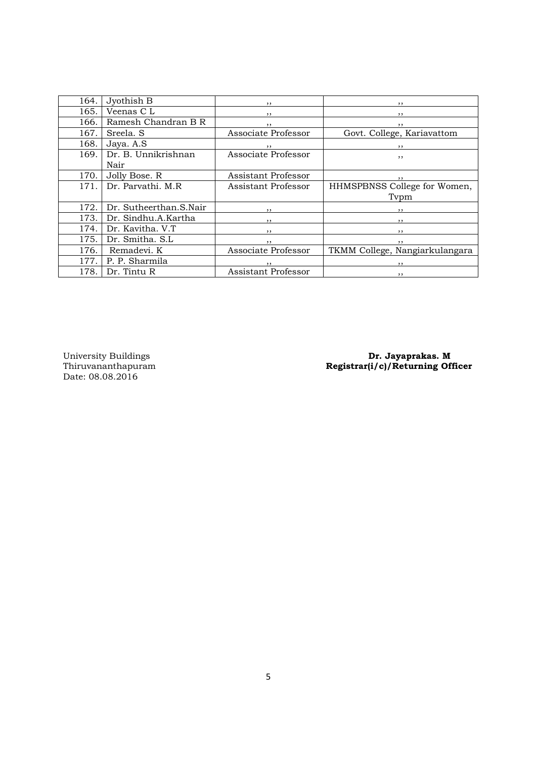| 164. | Jyothish B                  | , ,                      | $, \,$                         |
|------|-----------------------------|--------------------------|--------------------------------|
| 165. | Veenas C L                  | ,,                       | , ,                            |
| 166. | Ramesh Chandran B R         | , ,                      | $, \,$                         |
| 167. | Sreela, S                   | Associate Professor      | Govt. College, Kariavattom     |
| 168. | Jaya. A.S                   | $\cdots$                 |                                |
| 169. | Dr. B. Unnikrishnan<br>Nair | Associate Professor      | , ,                            |
| 170. | Jolly Bose. R               | Assistant Professor      | , ,                            |
| 171. | Dr. Parvathi, M.R.          | Assistant Professor      | HHMSPBNSS College for Women,   |
|      |                             |                          | Typm                           |
| 172. | Dr. Sutheerthan.S.Nair      | , ,                      | , ,                            |
| 173. | Dr. Sindhu.A.Kartha         | , ,                      | , ,                            |
| 174. | Dr. Kavitha, V.T.           | , ,                      | , ,                            |
| 175. | Dr. Smitha. S.L             | $\overline{\phantom{a}}$ | $, \, \,$                      |
| 176. | Remadevi. K                 | Associate Professor      | TKMM College, Nangiarkulangara |
| 177. | P. P. Sharmila              | , ,                      |                                |
| 178. | Dr. Tintu R                 | Assistant Professor      | , ,                            |

University Buildings<br>Thiruvananthapuram<br>Date: 08.08.2016

University Buildings **Dr. Jayaprakas. M** Thiruvananthapuram Registrar(i/c)/Returning Officer